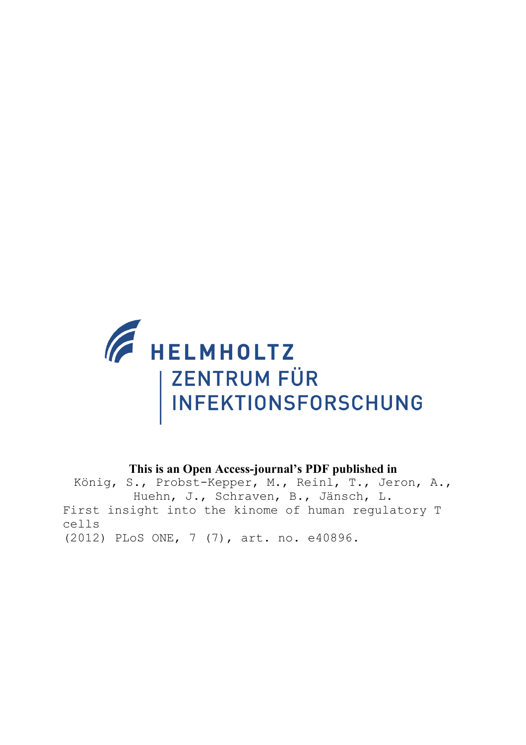

# **This is an Open Access-journal's PDF published in**

König, S., Probst-Kepper, M., Reinl, T., Jeron, A., Huehn, J., Schraven, B., Jänsch, L. First insight into the kinome of human regulatory T cells (2012) PLoS ONE, 7 (7), art. no. e40896.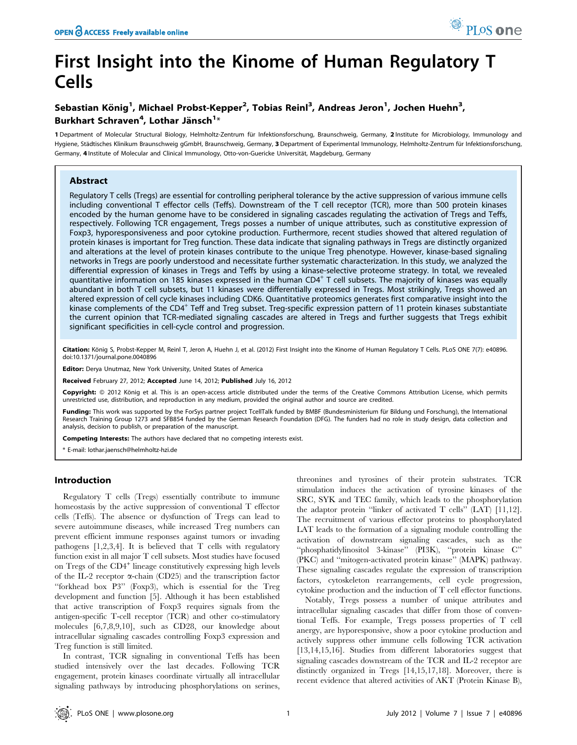# First Insight into the Kinome of Human Regulatory T Cells

## Sebastian König<sup>1</sup>, Michael Probst-Kepper<sup>2</sup>, Tobias Reinl<sup>3</sup>, Andreas Jeron<sup>1</sup>, Jochen Huehn<sup>3</sup>, Burkhart Schraven<sup>4</sup>, Lothar Jänsch<sup>1</sup>\*

1 Department of Molecular Structural Biology, Helmholtz-Zentrum für Infektionsforschung, Braunschweig, Germany, 2 Institute for Microbiology, Immunology and Hygiene, Städtisches Klinikum Braunschweig gGmbH, Braunschweig, Germany, 3 Department of Experimental Immunology, Helmholtz-Zentrum für Infektionsforschung, Germany, 4 Institute of Molecular and Clinical Immunology, Otto-von-Guericke Universität, Magdeburg, Germany

## Abstract

Regulatory T cells (Tregs) are essential for controlling peripheral tolerance by the active suppression of various immune cells including conventional T effector cells (Teffs). Downstream of the T cell receptor (TCR), more than 500 protein kinases encoded by the human genome have to be considered in signaling cascades regulating the activation of Tregs and Teffs, respectively. Following TCR engagement, Tregs posses a number of unique attributes, such as constitutive expression of Foxp3, hyporesponsiveness and poor cytokine production. Furthermore, recent studies showed that altered regulation of protein kinases is important for Treg function. These data indicate that signaling pathways in Tregs are distinctly organized and alterations at the level of protein kinases contribute to the unique Treg phenotype. However, kinase-based signaling networks in Tregs are poorly understood and necessitate further systematic characterization. In this study, we analyzed the differential expression of kinases in Tregs and Teffs by using a kinase-selective proteome strategy. In total, we revealed quantitative information on 185 kinases expressed in the human CD4<sup>+</sup> T cell subsets. The majority of kinases was equally abundant in both T cell subsets, but 11 kinases were differentially expressed in Tregs. Most strikingly, Tregs showed an altered expression of cell cycle kinases including CDK6. Quantitative proteomics generates first comparative insight into the kinase complements of the CD4<sup>+</sup> Teff and Treg subset. Treg-specific expression pattern of 11 protein kinases substantiate the current opinion that TCR-mediated signaling cascades are altered in Tregs and further suggests that Tregs exhibit significant specificities in cell-cycle control and progression.

Citation: König S, Probst-Kepper M, Reinl T, Jeron A, Huehn J, et al. (2012) First Insight into the Kinome of Human Regulatory T Cells. PLoS ONE 7(7): e40896. doi:10.1371/journal.pone.0040896

Editor: Derya Unutmaz, New York University, United States of America

Received February 27, 2012; Accepted June 14, 2012; Published July 16, 2012

Copyright: © 2012 König et al. This is an open-access article distributed under the terms of the Creative Commons Attribution License, which permits unrestricted use, distribution, and reproduction in any medium, provided the original author and source are credited.

Funding: This work was supported by the ForSys partner project TcellTalk funded by BMBF (Bundesministerium für Bildung und Forschung), the International Research Training Group 1273 and SFB854 funded by the German Research Foundation (DFG). The funders had no role in study design, data collection and analysis, decision to publish, or preparation of the manuscript.

Competing Interests: The authors have declared that no competing interests exist.

\* E-mail: lothar.jaensch@helmholtz-hzi.de

## Introduction

Regulatory T cells (Tregs) essentially contribute to immune homeostasis by the active suppression of conventional T effector cells (Teffs). The absence or dysfunction of Tregs can lead to severe autoimmune diseases, while increased Treg numbers can prevent efficient immune responses against tumors or invading pathogens [1,2,3,4]. It is believed that T cells with regulatory function exist in all major T cell subsets. Most studies have focused on Tregs of the CD4<sup>+</sup> lineage constitutively expressing high levels of the IL-2 receptor  $\alpha$ -chain (CD25) and the transcription factor ''forkhead box P3'' (Foxp3), which is essential for the Treg development and function [5]. Although it has been established that active transcription of Foxp3 requires signals from the antigen-specific T-cell receptor (TCR) and other co-stimulatory molecules [6,7,8,9,10], such as CD28, our knowledge about intracellular signaling cascades controlling Foxp3 expression and Treg function is still limited.

In contrast, TCR signaling in conventional Teffs has been studied intensively over the last decades. Following TCR engagement, protein kinases coordinate virtually all intracellular signaling pathways by introducing phosphorylations on serines,

threonines and tyrosines of their protein substrates. TCR stimulation induces the activation of tyrosine kinases of the SRC, SYK and TEC family, which leads to the phosphorylation the adaptor protein ''linker of activated T cells'' (LAT) [11,12]. The recruitment of various effector proteins to phosphorylated LAT leads to the formation of a signaling module controlling the activation of downstream signaling cascades, such as the ''phosphatidylinositol 3-kinase'' (PI3K), ''protein kinase C'' (PKC) and ''mitogen-activated protein kinase'' (MAPK) pathway. These signaling cascades regulate the expression of transcription factors, cytoskeleton rearrangements, cell cycle progression, cytokine production and the induction of T cell effector functions.

Notably, Tregs possess a number of unique attributes and intracellular signaling cascades that differ from those of conventional Teffs. For example, Tregs possess properties of T cell anergy, are hyporesponsive, show a poor cytokine production and actively suppress other immune cells following TCR activation [13,14,15,16]. Studies from different laboratories suggest that signaling cascades downstream of the TCR and IL-2 receptor are distinctly organized in Tregs [14,15,17,18]. Moreover, there is recent evidence that altered activities of AKT (Protein Kinase B),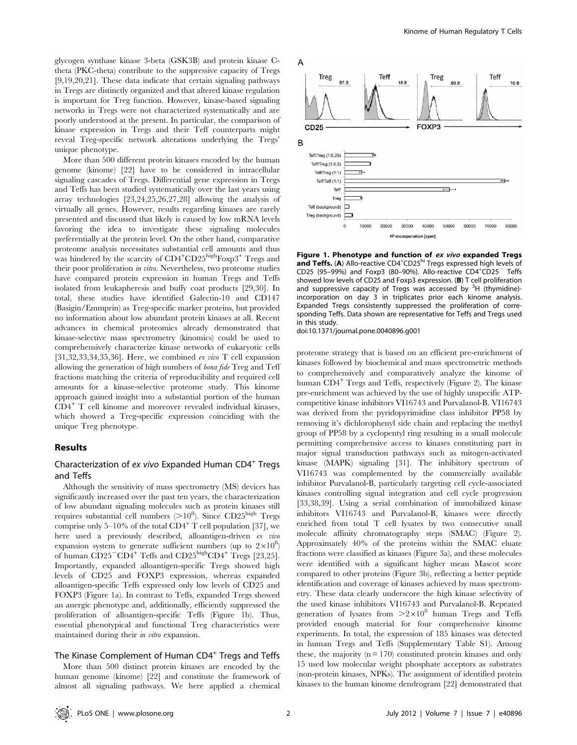glycogen synthase kinase 3-beta (GSK3B) and protein kinase Ctheta (PKC-theta) contribute to the suppressive capacity of Tregs [9,19,20,21]. These data indicate that certain signaling pathways in Tregs are distinctly organized and that altered kinase regulation is important for Treg function. However, kinase-based signaling networks in Tregs were not characterized systematically and are poorly understood at the present. In particular, the comparison of kinase expression in Tregs and their Teff counterparts might reveal Treg-specific network alterations underlying the Tregs' unique phenotype.

More than 500 different protein kinases encoded by the human genome (kinome) [22] have to be considered in intracellular signaling cascades of Tregs. Differential gene expression in Tregs and Teffs has been studied systematically over the last years using array technologies [23,24,25,26,27,28] allowing the analysis of virtually all genes. However, results regarding kinases are rarely presented and discussed that likely is caused by low mRNA levels favoring the idea to investigate these signaling molecules preferentially at the protein level. On the other hand, comparative proteome analysis necessitates substantial cell amounts and thus was hindered by the scarcity of CD4<sup>+</sup>CD25<sup>high</sup>Foxp3<sup>+</sup> Tregs and their poor proliferation in vitro. Nevertheless, two proteome studies have compared protein expression in human Tregs and Teffs isolated from leukapheresis and buffy coat products [29,30]. In total, these studies have identified Galectin-10 and CD147 (Basigin/Emmprin) as Treg-specific marker proteins, but provided no information about low abundant protein kinases at all. Recent advances in chemical proteomics already demonstrated that kinase-selective mass spectrometry (kinomics) could be used to comprehensively characterize kinase networks of eukaryotic cells [31,32,33,34,35,36]. Here, we combined ex vivo  $T$  cell expansion allowing the generation of high numbers of bona fide Treg and Teff fractions matching the criteria of reproducibility and required cell amounts for a kinase-selective proteome study. This kinome approach gained insight into a substantial portion of the human CD4<sup>+</sup> T cell kinome and moreover revealed individual kinases, which showed a Treg-specific expression coinciding with the unique Treg phenotype.

## Results

## Characterization of ex vivo Expanded Human CD4<sup>+</sup> Tregs and Teffs

Although the sensitivity of mass spectrometry (MS) devices has significantly increased over the past ten years, the characterization of low abundant signaling molecules such as protein kinases still requires substantial cell numbers ( $>10^8$ ). Since CD25<sup>high</sup> Tregs comprise only 5–10% of the total  $CD4^+$  T cell population [37], we here used a previously described, alloantigen-driven ex vivo expansion system to generate sufficient numbers (up to  $2 \times 10^8$ ) of human  $CD25$ <sup>-</sup> $CD4$ <sup>+</sup> Teffs and  $CD25$ <sup>high</sup> $CD4$ <sup>+</sup> Tregs [23,25]. Importantly, expanded alloantigen-specific Tregs showed high levels of CD25 and FOXP3 expression, whereas expanded alloantigen-specific Teffs expressed only low levels of CD25 and FOXP3 (Figure 1a). In contrast to Teffs, expanded Tregs showed an anergic phenotype and, additionally, efficiently suppressed the proliferation of alloantigen-specific Teffs (Figure 1b). Thus, essential phenotypical and functional Treg characteristics were maintained during their in vitro expansion.

#### The Kinase Complement of Human  $CD4^+$  Tregs and Teffs

More than 500 distinct protein kinases are encoded by the human genome (kinome) [22] and constitute the framework of almost all signaling pathways. We here applied a chemical



Figure 1. Phenotype and function of ex vivo expanded Tregs and Teffs. (A) Allo-reactive CD4<sup>+</sup>CD25<sup>hi</sup> Tregs expressed high levels of CD25 (95-99%) and Foxp3 (80-90%). Allo-reactive CD4<sup>+</sup>CD25<sup>-</sup> Teffs showed low levels of CD25 and Foxp3 expression. (B) T cell proliferation and suppressive capacity of Tregs was accessed by  $3H$  (thymidine)incorporation on day 3 in triplicates prior each kinome analysis. Expanded Tregs consistently suppressed the proliferation of corresponding Teffs. Data shown are representative for Teffs and Tregs used in this study.

doi:10.1371/journal.pone.0040896.g001

proteome strategy that is based on an efficient pre-enrichment of kinases followed by biochemical and mass spectrometric methods to comprehensively and comparatively analyze the kinome of human CD4<sup>+</sup> Tregs and Teffs, respectively (Figure 2). The kinase pre-enrichment was achieved by the use of highly unspecific ATPcompetitive kinase inhibitors VI16743 and Purvalanol-B. VI16743 was derived from the pyridopyrimidine class inhibitor PP58 by removing it's dichlorophenyl side chain and replacing the methyl group of PP58 by a cyclopentyl ring resulting in a small molecule permitting comprehensive access to kinases constituting part in major signal transduction pathways such as mitogen-activated kinase (MAPK) signaling [31]. The inhibitory spectrum of VI16743 was complemented by the commercially available inhibitor Purvalanol-B, particularly targeting cell cycle-associated kinases controlling signal integration and cell cycle progression [33,38,39]. Using a serial combination of immobilized kinase inhibitors VI16743 and Purvalanol-B, kinases were directly enriched from total T cell lysates by two consecutive small molecule affinity chromatography steps (SMAC) (Figure 2). Approximately 40% of the proteins within the SMAC eluate fractions were classified as kinases (Figure 3a), and these molecules were identified with a significant higher mean Mascot score compared to other proteins (Figure 3b), reflecting a better peptide identification and coverage of kinases achieved by mass spectrometry. These data clearly underscore the high kinase selectivity of the used kinase inhibitors VI16743 and Purvalanol-B. Repeated generation of lysates from  $>2\times10^8$  human Tregs and Teffs provided enough material for four comprehensive kinome experiments. In total, the expression of 185 kinases was detected in human Tregs and Teffs (Supplementary Table S1). Among these, the majority  $(n = 170)$  constituted protein kinases and only 15 used low molecular weight phosphate acceptors as substrates (non-protein kinases, NPKs). The assignment of identified protein kinases to the human kinome dendrogram [22] demonstrated that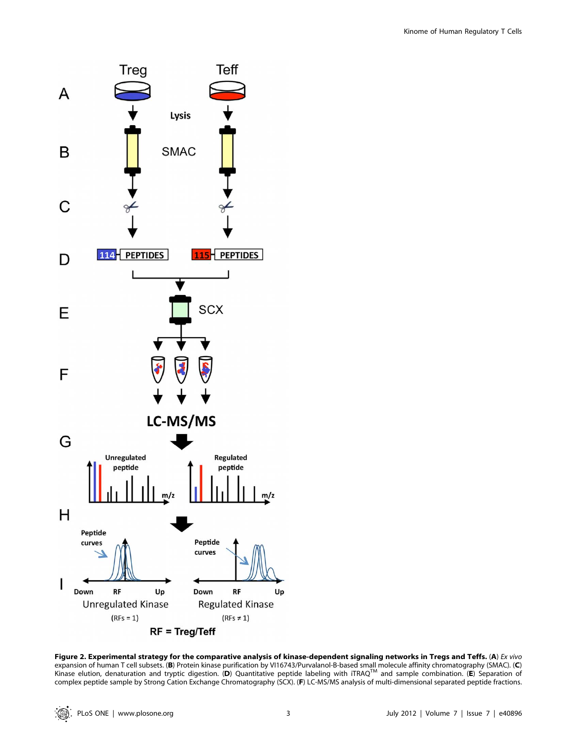

Figure 2. Experimental strategy for the comparative analysis of kinase-dependent signaling networks in Tregs and Teffs. (A) Ex vivo expansion of human T cell subsets. (B) Protein kinase purification by VI16743/Purvalanol-B-based small molecule affinity chromatography (SMAC). (C) Kinase elution, denaturation and tryptic digestion. (D) Quantitative peptide labeling with iTRAQ<sup>TM</sup> and sample combination. (E) Separation of complex peptide sample by Strong Cation Exchange Chromatography (SCX). (F) LC-MS/MS analysis of multi-dimensional separated peptide fractions.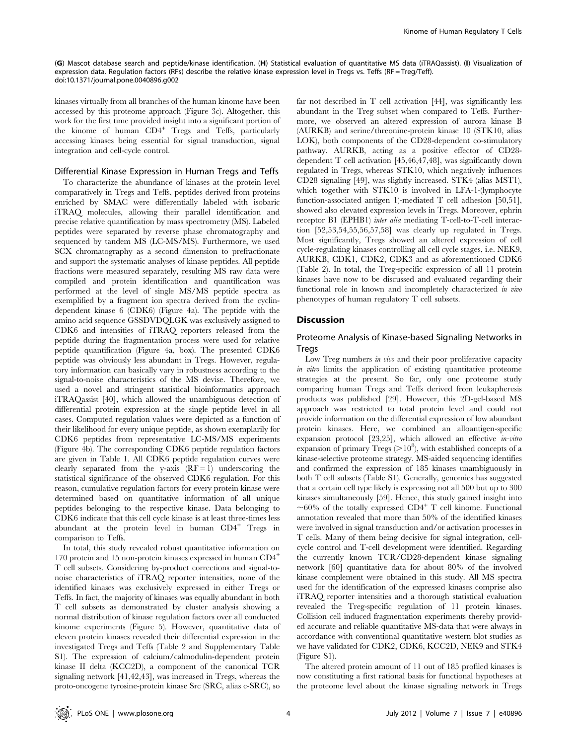(G) Mascot database search and peptide/kinase identification. (H) Statistical evaluation of quantitative MS data (iTRAQassist). (I) Visualization of expression data. Regulation factors (RFs) describe the relative kinase expression level in Tregs vs. Teffs (RF = Treg/Teff). doi:10.1371/journal.pone.0040896.g002

kinases virtually from all branches of the human kinome have been accessed by this proteome approach (Figure 3c). Altogether, this work for the first time provided insight into a significant portion of the kinome of human  $CD4^+$  Tregs and Teffs, particularly accessing kinases being essential for signal transduction, signal integration and cell-cycle control.

#### Differential Kinase Expression in Human Tregs and Teffs

To characterize the abundance of kinases at the protein level comparatively in Tregs and Teffs, peptides derived from proteins enriched by SMAC were differentially labeled with isobaric iTRAQ molecules, allowing their parallel identification and precise relative quantification by mass spectrometry (MS). Labeled peptides were separated by reverse phase chromatography and sequenced by tandem MS (LC-MS/MS). Furthermore, we used SCX chromatography as a second dimension to prefractionate and support the systematic analyses of kinase peptides. All peptide fractions were measured separately, resulting MS raw data were compiled and protein identification and quantification was performed at the level of single MS/MS peptide spectra as exemplified by a fragment ion spectra derived from the cyclindependent kinase 6 (CDK6) (Figure 4a). The peptide with the amino acid sequence GSSDVDQLGK was exclusively assigned to CDK6 and intensities of iTRAQ reporters released from the peptide during the fragmentation process were used for relative peptide quantification (Figure 4a, box). The presented CDK6 peptide was obviously less abundant in Tregs. However, regulatory information can basically vary in robustness according to the signal-to-noise characteristics of the MS devise. Therefore, we used a novel and stringent statistical bioinformatics approach iTRAQassist [40], which allowed the unambiguous detection of differential protein expression at the single peptide level in all cases. Computed regulation values were depicted as a function of their likelihood for every unique peptide, as shown exemplarily for CDK6 peptides from representative LC-MS/MS experiments (Figure 4b). The corresponding CDK6 peptide regulation factors are given in Table 1. All CDK6 peptide regulation curves were clearly separated from the y-axis  $(RF = 1)$  underscoring the statistical significance of the observed CDK6 regulation. For this reason, cumulative regulation factors for every protein kinase were determined based on quantitative information of all unique peptides belonging to the respective kinase. Data belonging to CDK6 indicate that this cell cycle kinase is at least three-times less abundant at the protein level in human CD4<sup>+</sup> Tregs in comparison to Teffs.

In total, this study revealed robust quantitative information on 170 protein and 15 non-protein kinases expressed in human CD4<sup>+</sup> T cell subsets. Considering by-product corrections and signal-tonoise characteristics of iTRAQ reporter intensities, none of the identified kinases was exclusively expressed in either Tregs or Teffs. In fact, the majority of kinases was equally abundant in both T cell subsets as demonstrated by cluster analysis showing a normal distribution of kinase regulation factors over all conducted kinome experiments (Figure 5). However, quantitative data of eleven protein kinases revealed their differential expression in the investigated Tregs and Teffs (Table 2 and Supplementary Table S1). The expression of calcium/calmodulin-dependent protein kinase II delta (KCC2D), a component of the canonical TCR signaling network [41,42,43], was increased in Tregs, whereas the proto-oncogene tyrosine-protein kinase Src (SRC, alias c-SRC), so

far not described in T cell activation [44], was significantly less abundant in the Treg subset when compared to Teffs. Furthermore, we observed an altered expression of aurora kinase B (AURKB) and serine/threonine-protein kinase 10 (STK10, alias LOK), both components of the CD28-dependent co-stimulatory pathway. AURKB, acting as a positive effector of CD28 dependent T cell activation [45,46,47,48], was significantly down regulated in Tregs, whereas STK10, which negatively influences CD28 signaling [49], was slightly increased. STK4 (alias MST1), which together with STK10 is involved in LFA-1-(lymphocyte function-associated antigen 1)-mediated T cell adhesion [50,51], showed also elevated expression levels in Tregs. Moreover, ephrin receptor B1 (EPHB1) inter alia mediating T-cell-to-T-cell interaction [52,53,54,55,56,57,58] was clearly up regulated in Tregs. Most significantly, Tregs showed an altered expression of cell cycle-regulating kinases controlling all cell cycle stages, i.e. NEK9, AURKB, CDK1, CDK2, CDK3 and as aforementioned CDK6 (Table 2). In total, the Treg-specific expression of all 11 protein kinases have now to be discussed and evaluated regarding their functional role in known and incompletely characterized in vivo phenotypes of human regulatory T cell subsets.

## **Discussion**

## Proteome Analysis of Kinase-based Signaling Networks in **Tregs**

Low Treg numbers in vivo and their poor proliferative capacity in vitro limits the application of existing quantitative proteome strategies at the present. So far, only one proteome study comparing human Tregs and Teffs derived from leukapheresis products was published [29]. However, this 2D-gel-based MS approach was restricted to total protein level and could not provide information on the differential expression of low abundant protein kinases. Here, we combined an alloantigen-specific expansion protocol  $[23,25]$ , which allowed an effective *in-vitro* expansion of primary Tregs  $(>10^8)$ , with established concepts of a kinase-selective proteome strategy. MS-aided sequencing identifies and confirmed the expression of 185 kinases unambiguously in both T cell subsets (Table S1). Generally, genomics has suggested that a certain cell type likely is expressing not all 500 but up to 300 kinases simultaneously [59]. Hence, this study gained insight into  $\sim60\%$  of the totally expressed CD4<sup>+</sup> T cell kinome. Functional annotation revealed that more than 50% of the identified kinases were involved in signal transduction and/or activation processes in T cells. Many of them being decisive for signal integration, cellcycle control and T-cell development were identified. Regarding the currently known TCR/CD28-dependent kinase signaling network [60] quantitative data for about 80% of the involved kinase complement were obtained in this study. All MS spectra used for the identification of the expressed kinases comprise also iTRAQ reporter intensities and a thorough statistical evaluation revealed the Treg-specific regulation of 11 protein kinases. Collision cell induced fragmentation experiments thereby provided accurate and reliable quantitative MS-data that were always in accordance with conventional quantitative western blot studies as we have validated for CDK2, CDK6, KCC2D, NEK9 and STK4 (Figure S1).

The altered protein amount of 11 out of 185 profiled kinases is now constituting a first rational basis for functional hypotheses at the proteome level about the kinase signaling network in Tregs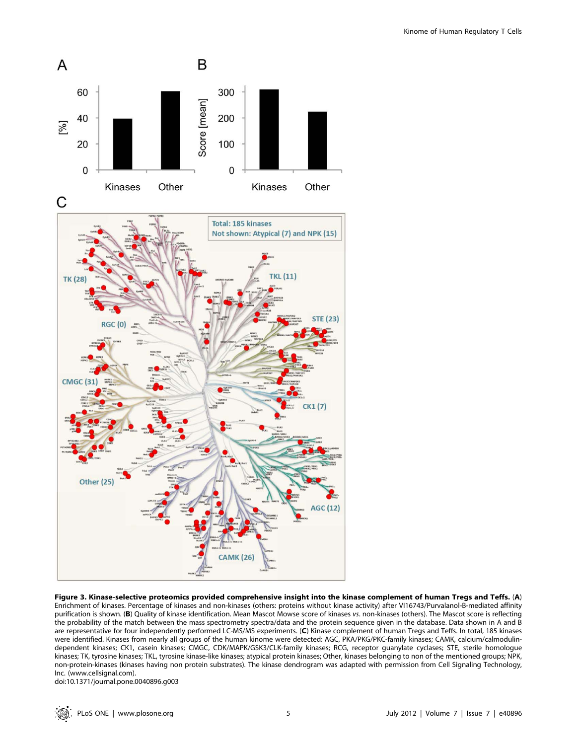

B

300

200

 $\overline{A}$ 

 $[96]$ 

60

40

Enrichment of kinases. Percentage of kinases and non-kinases (others: proteins without kinase activity) after VI16743/Purvalanol-B-mediated affinity purification is shown. (B) Quality of kinase identification. Mean Mascot Mowse score of kinases vs. non-kinases (others). The Mascot score is reflecting the probability of the match between the mass spectrometry spectra/data and the protein sequence given in the database. Data shown in A and B are representative for four independently performed LC-MS/MS experiments. (C) Kinase complement of human Tregs and Teffs. In total, 185 kinases were identified. Kinases from nearly all groups of the human kinome were detected: AGC, PKA/PKG/PKC-family kinases; CAMK, calcium/calmodulindependent kinases; CK1, casein kinases; CMGC, CDK/MAPK/GSK3/CLK-family kinases; RCG, receptor guanylate cyclases; STE, sterile homologue kinases; TK, tyrosine kinases; TKL, tyrosine kinase-like kinases; atypical protein kinases; Other, kinases belonging to non of the mentioned groups; NPK, non-protein-kinases (kinases having non protein substrates). The kinase dendrogram was adapted with permission from Cell Signaling Technology, Inc. (www.cellsignal.com).

doi:10.1371/journal.pone.0040896.g003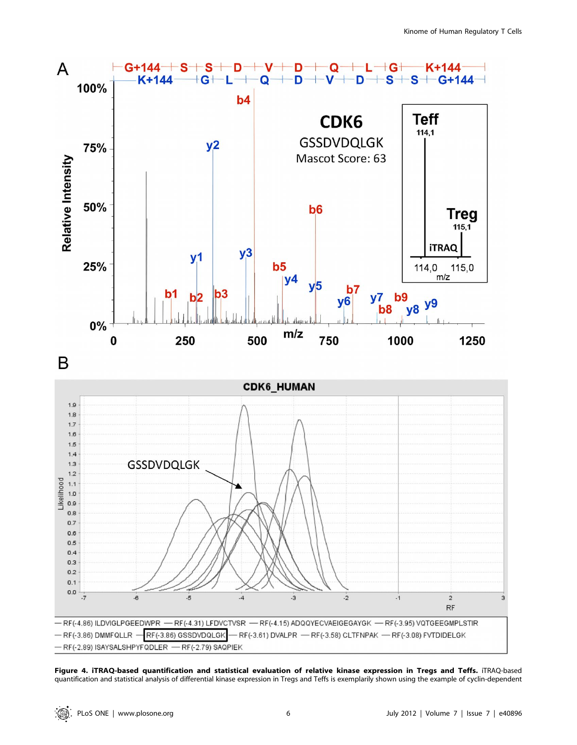

Figure 4. iTRAQ-based quantification and statistical evaluation of relative kinase expression in Tregs and Teffs. iTRAQ-based quantification and statistical analysis of differential kinase expression in Tregs and Teffs is exemplarily shown using the example of cyclin-dependent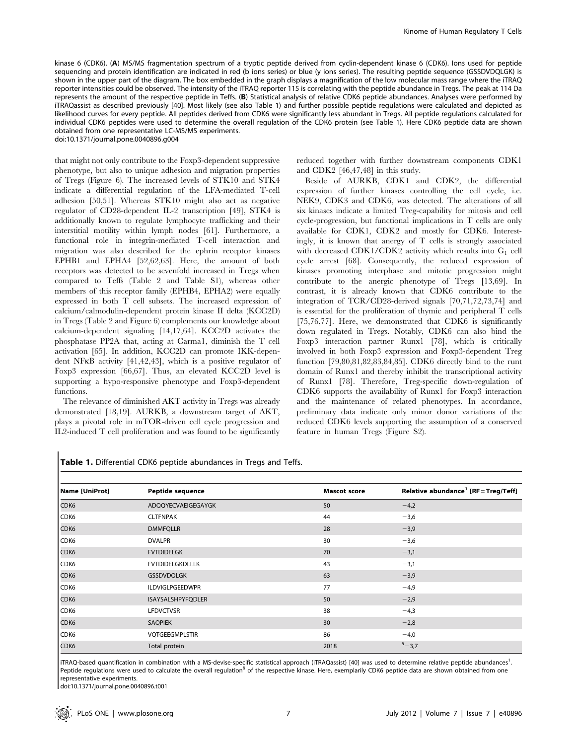kinase 6 (CDK6). (A) MS/MS fragmentation spectrum of a tryptic peptide derived from cyclin-dependent kinase 6 (CDK6). Ions used for peptide sequencing and protein identification are indicated in red (b ions series) or blue (y ions series). The resulting peptide sequence (GSSDVDQLGK) is shown in the upper part of the diagram. The box embedded in the graph displays a magnification of the low molecular mass range where the iTRAQ reporter intensities could be observed. The intensity of the iTRAQ reporter 115 is correlating with the peptide abundance in Tregs. The peak at 114 Da represents the amount of the respective peptide in Teffs. (B) Statistical analysis of relative CDK6 peptide abundances. Analyses were performed by iTRAQassist as described previously [40]. Most likely (see also Table 1) and further possible peptide regulations were calculated and depicted as likelihood curves for every peptide. All peptides derived from CDK6 were significantly less abundant in Tregs. All peptide regulations calculated for individual CDK6 peptides were used to determine the overall regulation of the CDK6 protein (see Table 1). Here CDK6 peptide data are shown obtained from one representative LC-MS/MS experiments.

doi:10.1371/journal.pone.0040896.g004

that might not only contribute to the Foxp3-dependent suppressive phenotype, but also to unique adhesion and migration properties of Tregs (Figure 6). The increased levels of STK10 and STK4 indicate a differential regulation of the LFA-mediated T-cell adhesion [50,51]. Whereas STK10 might also act as negative regulator of CD28-dependent IL-2 transcription [49], STK4 is additionally known to regulate lymphocyte trafficking and their interstitial motility within lymph nodes [61]. Furthermore, a functional role in integrin-mediated T-cell interaction and migration was also described for the ephrin receptor kinases EPHB1 and EPHA4 [52,62,63]. Here, the amount of both receptors was detected to be sevenfold increased in Tregs when compared to Teffs (Table 2 and Table S1), whereas other members of this receptor family (EPHB4, EPHA2) were equally expressed in both T cell subsets. The increased expression of calcium/calmodulin-dependent protein kinase II delta (KCC2D) in Tregs (Table 2 and Figure 6) complements our knowledge about calcium-dependent signaling [14,17,64]. KCC2D activates the phosphatase PP2A that, acting at Carma1, diminish the T cell activation [65]. In addition, KCC2D can promote IKK-dependent NFkB activity [41,42,43], which is a positive regulator of Foxp3 expression [66,67]. Thus, an elevated KCC2D level is supporting a hypo-responsive phenotype and Foxp3-dependent functions.

The relevance of diminished AKT activity in Tregs was already demonstrated [18,19]. AURKB, a downstream target of AKT, plays a pivotal role in mTOR-driven cell cycle progression and IL2-induced T cell proliferation and was found to be significantly reduced together with further downstream components CDK1 and CDK2 [46,47,48] in this study.

Beside of AURKB, CDK1 and CDK2, the differential expression of further kinases controlling the cell cycle, i.e. NEK9, CDK3 and CDK6, was detected. The alterations of all six kinases indicate a limited Treg-capability for mitosis and cell cycle-progression, but functional implications in T cells are only available for CDK1, CDK2 and mostly for CDK6. Interestingly, it is known that anergy of T cells is strongly associated with decreased CDK1/CDK2 activity which results into  $G_1$  cell cycle arrest [68]. Consequently, the reduced expression of kinases promoting interphase and mitotic progression might contribute to the anergic phenotype of Tregs [13,69]. In contrast, it is already known that CDK6 contribute to the integration of TCR/CD28-derived signals [70,71,72,73,74] and is essential for the proliferation of thymic and peripheral T cells [75,76,77]. Here, we demonstrated that CDK6 is significantly down regulated in Tregs. Notably, CDK6 can also bind the Foxp3 interaction partner Runx1 [78], which is critically involved in both Foxp3 expression and Foxp3-dependent Treg function [79,80,81,82,83,84,85]. CDK6 directly bind to the runt domain of Runx1 and thereby inhibit the transcriptional activity of Runx1 [78]. Therefore, Treg-specific down-regulation of CDK6 supports the availability of Runx1 for Foxp3 interaction and the maintenance of related phenotypes. In accordance, preliminary data indicate only minor donor variations of the reduced CDK6 levels supporting the assumption of a conserved feature in human Tregs (Figure S2).

| Name [UniProt] | Peptide sequence       | <b>Mascot score</b> | Relative abundance <sup>1</sup> [RF = Treg/Teff] |
|----------------|------------------------|---------------------|--------------------------------------------------|
| CDK6           | ADQQYECVAEIGEGAYGK     | 50                  | $-4,2$                                           |
| CDK6           | <b>CLTFNPAK</b>        | 44                  | $-3,6$                                           |
| CDK6           | <b>DMMFQLLR</b>        | 28                  | $-3,9$                                           |
| CDK6           | <b>DVALPR</b>          | 30                  | $-3,6$                                           |
| CDK6           | <b>FVTDIDELGK</b>      | 70                  | $-3,1$                                           |
| CDK6           | <b>FVTDIDELGKDLLLK</b> | 43                  | $-3,1$                                           |
| CDK6           | <b>GSSDVDQLGK</b>      | 63                  | $-3,9$                                           |
| CDK6           | ILDVIGLPGEEDWPR        | 77                  | $-4,9$                                           |
| CDK6           | ISAYSALSHPYFQDLER      | 50                  | $-2,9$                                           |
| CDK6           | <b>LFDVCTVSR</b>       | 38                  | $-4,3$                                           |
| CDK6           | <b>SAQPIEK</b>         | 30                  | $-2,8$                                           |
| CDK6           | VQTGEEGMPLSTIR         | 86                  | $-4,0$                                           |
| CDK6           | Total protein          | 2018                | $s - 3,7$                                        |

Table 1. Differential CDK6 peptide abundances in Tregs and Teffs.

iTRAQ-based quantification in combination with a MS-devise-specific statistical approach (iTRAQassist) [40] was used to determine relative peptide abundances<sup>1</sup>. Peptide regulations were used to calculate the overall regulation<sup>§</sup> of the respective kinase. Here, exemplarily CDK6 peptide data are shown obtained from one representative experiments.

doi:10.1371/journal.pone.0040896.t001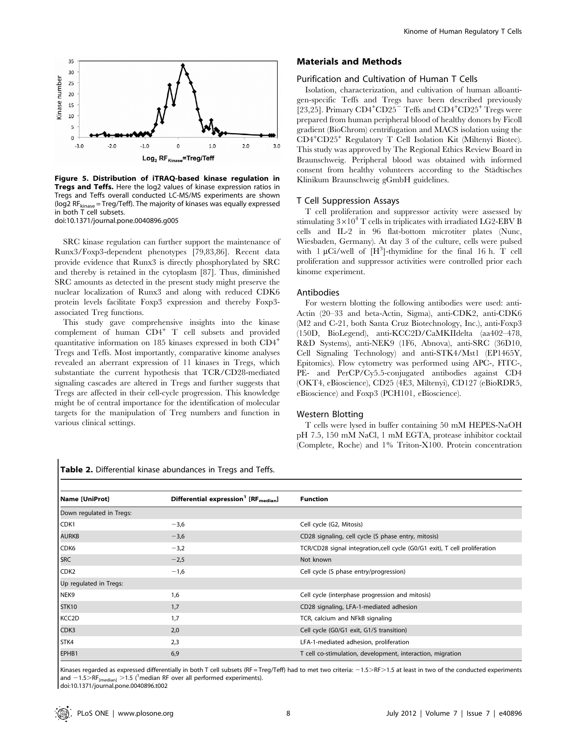

Figure 5. Distribution of iTRAQ-based kinase regulation in **Tregs and Teffs.** Here the log2 values of kinase expression ratios in Tregs and Teffs overall conducted LC-MS/MS experiments are shown ( $log2$  RF<sub>kinase</sub> = Treg/Teff). The majority of kinases was equally expressed in both T cell subsets. doi:10.1371/journal.pone.0040896.g005

SRC kinase regulation can further support the maintenance of Runx3/Foxp3-dependent phenotypes [79,83,86]. Recent data provide evidence that Runx3 is directly phosphorylated by SRC and thereby is retained in the cytoplasm [87]. Thus, diminished SRC amounts as detected in the present study might preserve the nuclear localization of Runx3 and along with reduced CDK6 protein levels facilitate Foxp3 expression and thereby Foxp3 associated Treg functions.

This study gave comprehensive insights into the kinase complement of human CD4<sup>+</sup> T cell subsets and provided quantitative information on 185 kinases expressed in both CD4<sup>+</sup> Tregs and Teffs. Most importantly, comparative kinome analyses revealed an aberrant expression of 11 kinases in Tregs, which substantiate the current hypothesis that TCR/CD28-mediated signaling cascades are altered in Tregs and further suggests that Tregs are affected in their cell-cycle progression. This knowledge might be of central importance for the identification of molecular targets for the manipulation of Treg numbers and function in various clinical settings.

Table 2. Differential kinase abundances in Tregs and Teffs.

#### Materials and Methods

#### Purification and Cultivation of Human T Cells

Isolation, characterization, and cultivation of human alloantigen-specific Teffs and Tregs have been described previously [23,25]. Primary  $CD4^+CD25^-$  Teffs and  $CD4^+CD25^+$  Tregs were prepared from human peripheral blood of healthy donors by Ficoll gradient (BioChrom) centrifugation and MACS isolation using the CD4<sup>+</sup> CD25<sup>+</sup> Regulatory T Cell Isolation Kit (Miltenyi Biotec). This study was approved by The Regional Ethics Review Board in Braunschweig. Peripheral blood was obtained with informed consent from healthy volunteers according to the Städtisches Klinikum Braunschweig gGmbH guidelines.

#### T Cell Suppression Assays

T cell proliferation and suppressor activity were assessed by stimulating  $3\times10^4$  T cells in triplicates with irradiated LG2-EBV B cells and IL-2 in 96 flat-bottom microtiter plates (Nunc, Wiesbaden, Germany). At day 3 of the culture, cells were pulsed with  $1 \mu\mathrm{Ci/well}$  of  $[H^3]$ -thymidine for the final 16 h. T cell proliferation and suppressor activities were controlled prior each kinome experiment.

#### Antibodies

For western blotting the following antibodies were used: anti-Actin (20–33 and beta-Actin, Sigma), anti-CDK2, anti-CDK6 (M2 and C-21, both Santa Cruz Biotechnology, Inc.), anti-Foxp3 (150D, BioLegend), anti-KCC2D/CaMKIIdelta (aa402–478, R&D Systems), anti-NEK9 (1F6, Abnova), anti-SRC (36D10, Cell Signaling Technology) and anti-STK4/Mst1 (EP1465Y, Epitomics). Flow cytometry was performed using APC-, FITC-, PE- and PerCP/Cy5.5-conjugated antibodies against CD4 (OKT4, eBioscience), CD25 (4E3, Miltenyi), CD127 (eBioRDR5, eBioscience) and Foxp3 (PCH101, eBioscience).

#### Western Blotting

T cells were lysed in buffer containing 50 mM HEPES-NaOH pH 7.5, 150 mM NaCl, 1 mM EGTA, protease inhibitor cocktail (Complete, Roche) and 1% Triton-X100. Protein concentration

| Name [UniProt]           | Differential expression <sup>1</sup> [RF <sub>median</sub> ] | <b>Function</b>                                                           |  |
|--------------------------|--------------------------------------------------------------|---------------------------------------------------------------------------|--|
| Down regulated in Tregs: |                                                              |                                                                           |  |
| CDK1                     | $-3,6$                                                       | Cell cycle (G2, Mitosis)                                                  |  |
| <b>AURKB</b>             | $-3,6$                                                       | CD28 signaling, cell cycle (S phase entry, mitosis)                       |  |
| CDK6                     | $-3,2$                                                       | TCR/CD28 signal integration,cell cycle (G0/G1 exit), T cell proliferation |  |
| <b>SRC</b>               | $-2,5$                                                       | Not known                                                                 |  |
| CDK <sub>2</sub>         | $-1,6$                                                       | Cell cycle (S phase entry/progression)                                    |  |
| Up regulated in Tregs:   |                                                              |                                                                           |  |
| NEK9                     | 1,6                                                          | Cell cycle (interphase progression and mitosis)                           |  |
| STK10                    | 1,7                                                          | CD28 signaling, LFA-1-mediated adhesion                                   |  |
| KCC <sub>2</sub> D       | 1.7                                                          | TCR, calcium and NFkB signaling                                           |  |
| CDK3                     | 2,0                                                          | Cell cycle (G0/G1 exit, G1/S transition)                                  |  |
| STK4                     | 2,3                                                          | LFA-1-mediated adhesion, proliferation                                    |  |
| EPHB1                    | 6,9                                                          | T cell co-stimulation, development, interaction, migration                |  |

Kinases regarded as expressed differentially in both T cell subsets (RF = Treg/Teff) had to met two criteria:  $-1.5 > RF > 1.5$  at least in two of the conducted experiments and  $-1.5 > RF$ <sub>[median]</sub>  $>1.5$  (<sup>1</sup>median RF over all performed experiments).

doi:10.1371/journal.pone.0040896.t002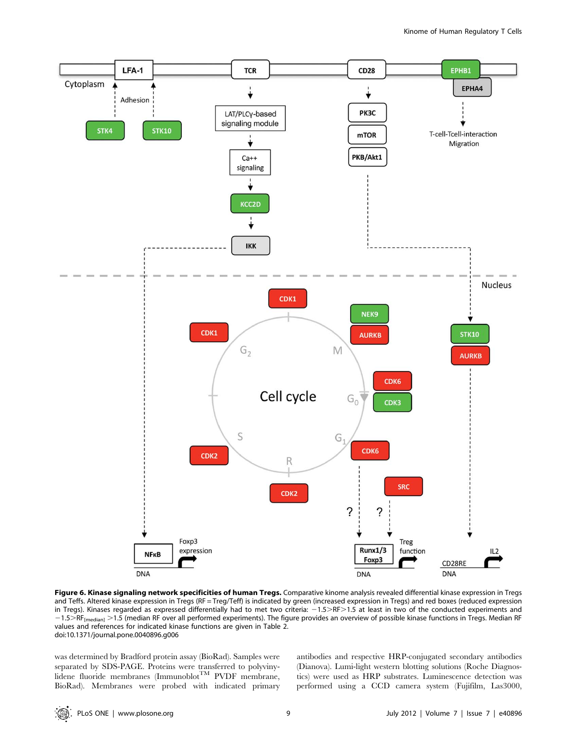

Figure 6. Kinase signaling network specificities of human Tregs. Comparative kinome analysis revealed differential kinase expression in Tregs and Teffs. Altered kinase expression in Tregs (RF = Treg/Teff) is indicated by green (increased expression in Tregs) and red boxes (reduced expression in Tregs). Kinases regarded as expressed differentially had to met two criteria: -1.5>RF>1.5 at least in two of the conducted experiments and  $-1.5$  RF<sub>[median]</sub> > 1.5 (median RF over all performed experiments). The figure provides an overview of possible kinase functions in Tregs. Median RF values and references for indicated kinase functions are given in Table 2. doi:10.1371/journal.pone.0040896.g006

was determined by Bradford protein assay (BioRad). Samples were separated by SDS-PAGE. Proteins were transferred to polyvinylidene fluoride membranes (Immunoblot<sup>TM</sup> PVDF membrane, BioRad). Membranes were probed with indicated primary antibodies and respective HRP-conjugated secondary antibodies (Dianova). Lumi-light western blotting solutions (Roche Diagnostics) were used as HRP substrates. Luminescence detection was performed using a CCD camera system (Fujifilm, Las3000,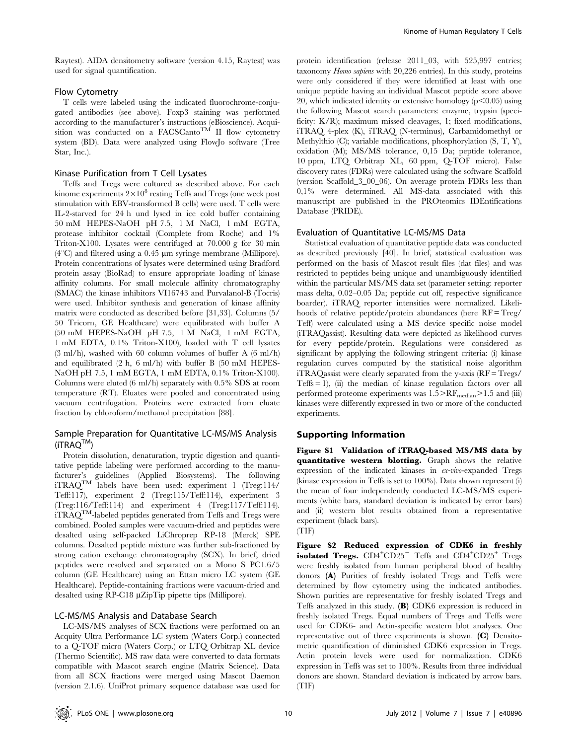Raytest). AIDA densitometry software (version 4.15, Raytest) was used for signal quantification.

## Flow Cytometry

T cells were labeled using the indicated fluorochrome-conjugated antibodies (see above). Foxp3 staining was performed according to the manufacturer's instructions (eBioscience). Acquisition was conducted on a FACSCanto<sup>TM</sup> II flow cytometry system (BD). Data were analyzed using FlowJo software (Tree Star, Inc.).

#### Kinase Purification from T Cell Lysates

Teffs and Tregs were cultured as described above. For each kinome experiments  $2\times10^8$  resting Teffs and Tregs (one week post stimulation with EBV-transformed B cells) were used. T cells were IL-2-starved for 24 h und lysed in ice cold buffer containing 50 mM HEPES-NaOH pH 7.5, 1 M NaCl, 1 mM EGTA, protease inhibitor cocktail (Complete from Roche) and 1% Triton-X100. Lysates were centrifuged at 70.000 g for 30 min  $(4^{\circ}C)$  and filtered using a 0.45 µm syringe membrane (Millipore). Protein concentrations of lysates were determined using Bradford protein assay (BioRad) to ensure appropriate loading of kinase affinity columns. For small molecule affinity chromatography (SMAC) the kinase inhibitors VI16743 and Purvalanol-B (Tocris) were used. Inhibitor synthesis and generation of kinase affinity matrix were conducted as described before [31,33]. Columns (5/ 50 Tricorn, GE Healthcare) were equilibrated with buffer A (50 mM HEPES-NaOH pH 7.5, 1 M NaCl, 1 mM EGTA, 1 mM EDTA, 0.1% Triton-X100), loaded with T cell lysates (3 ml/h), washed with 60 column volumes of buffer A (6 ml/h) and equilibrated (2 h, 6 ml/h) with buffer B (50 mM HEPES-NaOH pH 7.5, 1 mM EGTA, 1 mM EDTA, 0.1% Triton-X100). Columns were eluted (6 ml/h) separately with 0.5% SDS at room temperature (RT). Eluates were pooled and concentrated using vacuum centrifugation. Proteins were extracted from eluate fraction by chloroform/methanol precipitation [88].

## Sample Preparation for Quantitative LC-MS/MS Analysis  $(iTRAQ^{TM})$

Protein dissolution, denaturation, tryptic digestion and quantitative peptide labeling were performed according to the manufacturer's guidelines (Applied Biosystems). The following iTRAQTM labels have been used: experiment 1 (Treg:114/ Teff:117), experiment 2 (Treg:115/Teff:114), experiment 3 (Treg:116/Teff:114) and experiment 4 (Treg:117/Teff:114).  $iTRAQ^{TM}$  -labeled peptides generated from Teffs and Tregs were combined. Pooled samples were vacuum-dried and peptides were desalted using self-packed LiChroprep RP-18 (Merck) SPE columns. Desalted peptide mixture was further sub-fractioned by strong cation exchange chromatography (SCX). In brief, dried peptides were resolved and separated on a Mono S PC1.6/5 column (GE Healthcare) using an Ettan micro LC system (GE Healthcare). Peptide-containing fractions were vacuum-dried and desalted using RP-C18 µZipTip pipette tips (Millipore).

## LC-MS/MS Analysis and Database Search

LC-MS/MS analyses of SCX fractions were performed on an Acquity Ultra Performance LC system (Waters Corp.) connected to a Q-TOF micro (Waters Corp.) or LTQ Orbitrap XL device (Thermo Scientific). MS raw data were converted to data formats compatible with Mascot search engine (Matrix Science). Data from all SCX fractions were merged using Mascot Daemon (version 2.1.6). UniProt primary sequence database was used for

protein identification (release 2011\_03, with 525,997 entries; taxonomy Homo sapiens with 20,226 entries). In this study, proteins were only considered if they were identified at least with one unique peptide having an individual Mascot peptide score above 20, which indicated identity or extensive homology  $(p<0.05)$  using the following Mascot search parameters: enzyme, trypsin (specificity: K/R); maximum missed cleavages, 1; fixed modifications, iTRAQ 4-plex (K), iTRAQ (N-terminus), Carbamidomethyl or Methylthio (C); variable modifications, phosphorylation (S, T, Y), oxidation (M); MS/MS tolerance, 0,15 Da; peptide tolerance, 10 ppm, LTQ Orbitrap XL, 60 ppm, Q-TOF micro). False discovery rates (FDRs) were calculated using the software Scaffold (version Scaffold\_3\_00\_06). On average protein FDRs less than 0,1% were determined. All MS-data associated with this manuscript are published in the PROteomics IDEntifications Database (PRIDE).

#### Evaluation of Quantitative LC-MS/MS Data

Statistical evaluation of quantitative peptide data was conducted as described previously [40]. In brief, statistical evaluation was performed on the basis of Mascot result files (dat files) and was restricted to peptides being unique and unambiguously identified within the particular MS/MS data set (parameter setting: reporter mass delta, 0.02–0.05 Da; peptide cut off, respective significance boarder). iTRAQ reporter intensities were normalized. Likelihoods of relative peptide/protein abundances (here  $RF = Treg/A$ Teff) were calculated using a MS device specific noise model (iTRAQassist). Resulting data were depicted as likelihood curves for every peptide/protein. Regulations were considered as significant by applying the following stringent criteria: (i) kinase regulation curves computed by the statistical noise algorithm iTRAQassist were clearly separated from the y-axis (RF = Tregs/ Teffs  $= 1$ ), (ii) the median of kinase regulation factors over all performed proteome experiments was  $1.5 > RF_{\text{median}} > 1.5$  and (iii) kinases were differently expressed in two or more of the conducted experiments.

#### Supporting Information

Figure S1 Validation of iTRAQ-based MS/MS data by quantitative western blotting. Graph shows the relative expression of the indicated kinases in ex-vivo-expanded Tregs (kinase expression in Teffs is set to 100%). Data shown represent (i) the mean of four independently conducted LC-MS/MS experiments (white bars, standard deviation is indicated by error bars) and (ii) western blot results obtained from a representative experiment (black bars).



Figure S2 Reduced expression of CDK6 in freshly isolated Tregs.  $CD4+CD25$ <sup>-</sup> Teffs and  $CD4+CD25$ <sup>+</sup> Tregs were freshly isolated from human peripheral blood of healthy donors (A) Purities of freshly isolated Tregs and Teffs were determined by flow cytometry using the indicated antibodies. Shown purities are representative for freshly isolated Tregs and Teffs analyzed in this study. (B) CDK6 expression is reduced in freshly isolated Tregs. Equal numbers of Tregs and Teffs were used for CDK6- and Actin-specific western blot analyses. One representative out of three experiments is shown. (C) Densitometric quantification of diminished CDK6 expression in Tregs. Actin protein levels were used for normalization. CDK6 expression in Teffs was set to 100%. Results from three individual donors are shown. Standard deviation is indicated by arrow bars. (TIF)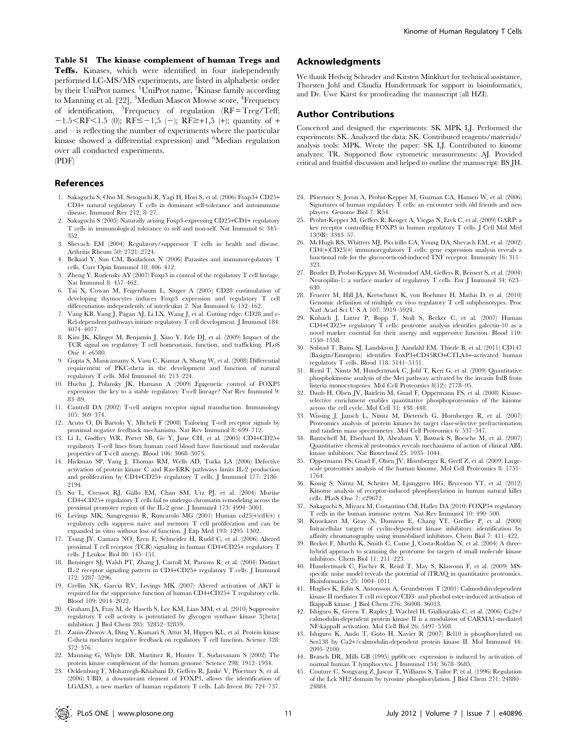Table S1 The kinase complement of human Tregs and Teffs. Kinases, which were identified in four independently performed LC-MS/MS experiments, are listed in alphabetic order by their UniProt names. <sup>1</sup>UniProt name, <sup>2</sup>Kinase family according to Manning et al. [22], <sup>3</sup>Median Mascot Mowse score, <sup>4</sup>Frequency of identification, <sup>5</sup>Frequency of regulation (RF=Treg/Teff;  $-1.5 < RF < 1.5$  (0); RF $\le -1.5$  (-); RF $\ge +1.5$  (+); quantity of + and – is reflecting the number of experiments where the particular kinase showed a differential expression) and <sup>6</sup>Median regulation over all conducted experiments. (PDF)

#### References

- 1. Sakaguchi S, Ono M, Setoguchi R, Yagi H, Hori S, et al. (2006) Foxp3+ CD25+ CD4+ natural regulatory T cells in dominant self-tolerance and autoimmune disease. Immunol Rev 212: 8–27.
- 2. Sakaguchi S (2005) Naturally arising Foxp3-expressing CD25+CD4+ regulatory T cells in immunological tolerance to self and non-self. Nat Immunol 6: 345– 352.
- 3. Shevach EM (2004) Regulatory/suppressor T cells in health and disease. Arthritis Rheum 50: 2721–2724.
- 4. Belkaid Y, Sun CM, Bouladoux N (2006) Parasites and immunoregulatory T cells. Curr Opin Immunol 18: 406–412.
- 5. Zheng Y, Rudensky AY (2007) Foxp3 in control of the regulatory T cell lineage. Nat Immunol 8: 457–462.
- 6. Tai X, Cowan M, Feigenbaum L, Singer A (2005) CD28 costimulation of developing thymocytes induces Foxp3 expression and regulatory T cell differentiation independently of interleukin 2. Nat Immunol 6: 152–162.
- 7. Vang KB, Yang J, Pagan AJ, Li LX, Wang J, et al. Cutting edge: CD28 and c-Rel-dependent pathways initiate regulatory T cell development. J Immunol 184: 4074–4077.
- Kim JK, Klinger M, Benjamin J, Xiao Y, Erle DJ, et al. (2009) Impact of the TCR signal on regulatory T cell homeostasis, function, and trafficking. PLoS One 4: e6580.
- 9. Gupta S, Manicassamy S, Vasu C, Kumar A, Shang W, et al. (2008) Differential requirement of PKC-theta in the development and function of natural regulatory T cells. Mol Immunol 46: 213–224.
- 10. Huehn J, Polansky JK, Hamann A (2009) Epigenetic control of FOXP3 expression: the key to a stable regulatory T-cell lineage? Nat Rev Immunol 9: 83–89.
- 11. Cantrell DA (2002) T-cell antigen receptor signal transduction. Immunology 105: 369–374.
- 12. Acuto O, Di Bartolo V, Micheli F (2008) Tailoring T-cell receptor signals by proximal negative feedback mechanisms. Nat Rev Immunol 8: 699–712.
- 13. Li L, Godfrey WR, Porter SB, Ge Y, June CH, et al. (2005) CD4+CD25+ regulatory T-cell lines from human cord blood have functional and molecular properties of T-cell anergy. Blood 106: 3068–3073.
- 14. Hickman SP, Yang J, Thomas RM, Wells AD, Turka LA (2006) Defective activation of protein kinase C and Ras-ERK pathways limits IL-2 production and proliferation by CD4+CD25+ regulatory T cells. J Immunol 177: 2186– 2194.
- 15. Su L, Creusot RJ, Gallo EM, Chan SM, Utz PJ, et al. (2004) Murine CD4+CD25+ regulatory T cells fail to undergo chromatin remodeling across the proximal promoter region of the IL-2 gene. J Immunol 173: 4994–5001.
- 16. Levings MK, Sangregorio R, Roncarolo MG (2001) Human cd25(+)cd4(+) t regulatory cells suppress naive and memory T cell proliferation and can be expanded in vitro without loss of function. J Exp Med 193: 1295–1302.
- 17. Tsang JY, Camara NO, Eren E, Schneider H, Rudd C, et al. (2006) Altered proximal T cell receptor (TCR) signaling in human CD4+CD25+ regulatory T cells. J Leukoc Biol 80: 145–151.
- 18. Bensinger SJ, Walsh PT, Zhang J, Carroll M, Parsons R, et al. (2004) Distinct IL-2 receptor signaling pattern in CD4+CD25+ regulatory T cells. J Immunol 172: 5287–5296.
- 19. Crellin NK, Garcia RV, Levings MK (2007) Altered activation of AKT is required for the suppressive function of human CD4+CD25+ T regulatory cells. Blood 109: 2014–2022.
- 20. Graham JA, Fray M, de Haseth S, Lee KM, Lian MM, et al. (2010) Suppressive regulatory T cell activity is potentiated by glycogen synthase kinase 3{beta} inhibition. J Biol Chem 285: 32852–32859.
- 21. Zanin-Zhorov A, Ding Y, Kumari S, Attur M, Hippen KL, et al. Protein kinase C-theta mediates negative feedback on regulatory T cell function. Science 328: 372–376.
- 22. Manning G, Whyte DB, Martinez R, Hunter T, Sudarsanam S (2002) The protein kinase complement of the human genome. Science 298: 1912–1934.
- 23. Ocklenburg F, Moharregh-Khiabani D, Geffers R, Janke V, Pfoertner S, et al. (2006) UBD, a downstream element of FOXP3, allows the identification of LGALS3, a new marker of human regulatory T cells. Lab Invest 86: 724–737.

## Acknowledgments

We thank Hedwig Schrader and Kirsten Minkhart for technical assistance, Thorsten Johl and Claudia Hundertmark for support in bioinformatics, and Dr. Uwe Kärst for proofreading the manuscript (all HZI).

#### Author Contributions

Conceived and designed the experiments: SK MPK LJ. Performed the experiments: SK. Analyzed the data: SK. Contributed reagents/materials/ analysis tools: MPK. Wrote the paper: SK LJ. Contributed to kinome analyzes: TR. Supported flow cytometric measurements: AJ. Provided critical and fruitful discussion and helped to outline the manuscript: BS JH.

- 24. Pfoertner S, Jeron A, Probst-Kepper M, Guzman CA, Hansen W, et al. (2006) Signatures of human regulatory T cells: an encounter with old friends and new players. Genome Biol 7: R54.
- 25. Probst-Kepper M, Geffers R, Kroger A, Viegas N, Erck C, et al. (2009) GARP: a key receptor controlling FOXP3 in human regulatory T cells. J Cell Mol Med 13(9B): 3343–57.
- 26. McHugh RS, Whitters MJ, Piccirillo CA, Young DA, Shevach EM, et al. (2002) CD4(+)CD25(+) immunoregulatory T cells: gene expression analysis reveals a functional role for the glucocorticoid-induced TNF receptor. Immunity 16: 311– 323.
- 27. Bruder D, Probst-Kepper M, Westendorf AM, Geffers R, Beissert S, et al. (2004) Neuropilin-1: a surface marker of regulatory T cells. Eur J Immunol 34: 623– 630.
- 28. Feuerer M, Hill JA, Kretschmer K, von Boehmer H, Mathis D, et al. (2010) Genomic definition of multiple ex vivo regulatory T cell subphenotypes. Proc Natl Acad Sci U S A 107: 5919–5924.
- 29. Kubach J, Lutter P, Bopp T, Stoll S, Becker C, et al. (2007) Human CD4+CD25+ regulatory  $\hat{T}$  cells: proteome analysis identifies galectin-10 as a novel marker essential for their anergy and suppressive function. Blood 110: 1550–1558.
- 30. Solstad T, Bains SJ, Landskron J, Aandahl EM, Thiede B, et al. (2011) CD147 (Basigin/Emmprin) identifies FoxP3+CD45RO+CTLA4+-activated human regulatory T cells. Blood 118: 5141–5151.
- 31. Reinl T, Nimtz M, Hundertmark C, Johl T, Keri G, et al. (2009) Quantitative phosphokinome analysis of the Met pathway activated by the invasin InlB from listeria monocytogenes. Mol Cell Proteomics 8(12): 2778–95.
- 32. Daub H, Olsen JV, Bairlein M, Gnad F, Oppermann FS, et al. (2008) Kinaseselective enrichment enables quantitative phosphoproteomics of the kinome across the cell cycle. Mol Cell 31: 438–448.
- 33. Wissing J, Jansch L, Nimtz M, Dieterich G, Hornberger R, et al. (2007) Proteomics analysis of protein kinases by target class-selective prefractionation and tandem mass spectrometry. Mol Cell Proteomics 6: 537–547.
- 34. Bantscheff M, Eberhard D, Abraham Y, Bastuck S, Boesche M, et al. (2007) Quantitative chemical proteomics reveals mechanisms of action of clinical ABL kinase inhibitors. Nat Biotechnol 25: 1035–1044.
- 35. Oppermann FS, Gnad F, Olsen JV, Hornberger R, Greff Z, et al. (2009) Largescale proteomics analysis of the human kinome. Mol Cell Proteomics 8: 1751– 1764.
- 36. Konig S, Nimtz M, Scheiter M, Ljunggren HG, Bryceson YT, et al. (2012) Kinome analysis of receptor-induced phosphorylation in human natural killer cells. PLoS One 7: e29672.
- Sakaguchi S, Miyara M, Costantino CM, Hafler DA (2010) FOXP3+ regulatory T cells in the human immune system. Nat Rev Immunol 10: 490–500.
- 38. Knockaert M, Gray N, Damiens E, Chang YT, Grellier P, et al. (2000) Intracellular targets of cyclin-dependent kinase inhibitors: identification by affinity chromatography using immobilised inhibitors. Chem Biol 7: 411–422.
- 39. Becker F, Murthi K, Smith C, Come J, Costa-Roldan N, et al. (2004) A threehybrid approach to scanning the proteome for targets of small molecule kinase inhibitors. Chem Biol 11: 211–223.
- 40. Hundertmark C, Fischer R, Reinl T, May S, Klawonn F, et al. (2009) MSspecific noise model reveals the potential of iTRAQ in quantitative proteomics. Bioinformatics 25: 1004–1011.
- 41. Hughes K, Edin S, Antonsson A, Grundstrom T (2001) Calmodulin-dependent kinase II mediates T cell receptor/CD3- and phorbol ester-induced activation of IkappaB kinase. J Biol Chem 276: 36008–36013.
- 42. Ishiguro K, Green T, Rapley J, Wachtel H, Giallourakis C, et al. (2006) Ca2+/ calmodulin-dependent protein kinase II is a modulator of CARMA1-mediated NF-kappaB activation. Mol Cell Biol 26: 5497–5508.
- 43. Ishiguro K, Ando T, Goto H, Xavier R (2007) Bcl10 is phosphorylated on Ser138 by Ca2+/calmodulin-dependent protein kinase II. Mol Immunol 44: 2095–2100.
- 44. Branch DR, Mills GB (1995) pp60c-src expression is induced by activation of normal human T lymphocytes. J Immunol 154: 3678–3685.
- 45. Couture C, Songyang Z, Jascur T, Williams S, Tailor P, et al. (1996) Regulation of the Lck SH2 domain by tyrosine phosphorylation. J Biol Chem 271: 24880– 24884.